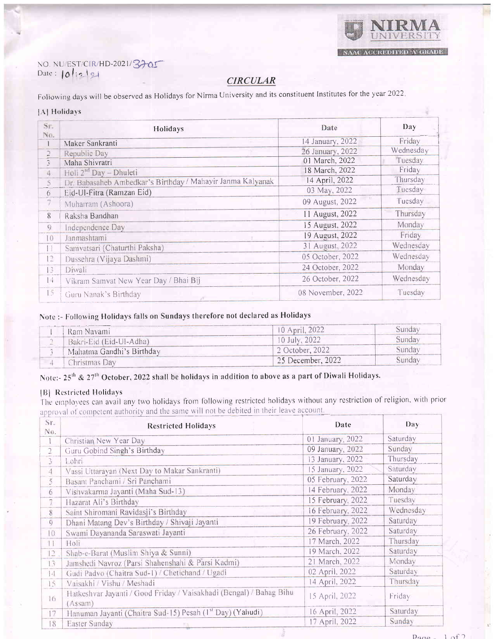

# NO. NU/EST/CIR/HD-2021/3705

## **CIRCULAR**

Following days will be observed as Holidays for Nirma University and its constituent Institutes for the year 2022.

#### [A] Holidays

| Sr.<br>No.     | Holidays                                                   | Date              | Day       |
|----------------|------------------------------------------------------------|-------------------|-----------|
|                | Maker Sankranti                                            | 14 January, 2022  | Friday    |
| 2              | Republic Day                                               | 26 January, 2022  | Wednesday |
| $\tilde{z}$    | Maha Shivratri                                             | 01 March, 2022    | Tuesday   |
| 4              | Holi 2 <sup>nd</sup> Day - Dhuleti                         | 18 March, 2022    | Friday    |
| $\overline{5}$ | Dr. Babasaheb Ambedkar's Birthday / Mahayir Janma Kalyanak | 14 April, 2022    | Thursday  |
| 6              | Eid-Ul-Fitra (Ramzan Eid)                                  | 03 May, 2022      | Tuesday   |
| 7              | Muharram (Ashoora)                                         | 09 August, 2022   | Tuesday   |
| 8              | Raksha Bandhan                                             | 11 August, 2022   | Thursday  |
| 9              | Independence Day                                           | 15 August, 2022   | Monday    |
| 10             | Janmashtami                                                | 19 August, 2022   | Friday    |
| Н              | Samvatsari (Chaturthi Paksha)                              | 31 August, 2022   | Wednesday |
| İŽ.            | Dussehra (Vijaya Dashmi)                                   | 05 October, 2022  | Wednesday |
| 13             | Diwali                                                     | 24 October, 2022  | Monday    |
| 14             | Vikram Samvat New Year Day / Bhai Bij                      | 26 October, 2022  | Wednesday |
| 15             | Guru Nanak's Birthday                                      | 08 November, 2022 | Tuesday   |

## Note :- Following Holidays falls on Sundays therefore not declared as Holidays

| Ram Navami                | $10$ April, $2022$ |        |
|---------------------------|--------------------|--------|
| Bakri-Eid (Eid-Ul-Adha)   | 10 July, 2022      | sunday |
| Mahatma Gandhi's Birthday | 2 October, 2022    | sunday |
| Thristmas Dav             | 25 December, 2022  | sunday |

## Note:- 25<sup>th</sup> & 27<sup>th</sup> October, 2022 shall be holidays in addition to above as a part of Diwali Holidays.

#### [B] Restricted Holidays

The employees can avail any two holidays from following restricted holidays without any restriction of religion, with prior approval of competent authority and the same will not be debited in their leave account.

| Sr.<br>No.      | <b>Restricted Holidays</b>                                                     | Date              | Day       |
|-----------------|--------------------------------------------------------------------------------|-------------------|-----------|
|                 | Christian New Year Day                                                         | 01 January, 2022  | Saturday  |
| $\overline{2}$  | Guru Gobind Singh's Birthday                                                   | 09 January, 2022  | Sunday    |
| 3               | Lohri                                                                          | 13 January, 2022  | Thursday  |
| 4               | Vassi Uttarayan (Next Day to Makar Sankranti)                                  | 15 January, 2022  | Saturday  |
| 5               | Basant Panchami / Sri Panchami                                                 | 05 February, 2022 | Saturday  |
| 6               | Vishvakarma Jayanti (Maha Sud-13)                                              | 14 February, 2022 | Monday    |
| 7               | Hazarat Ali's Birthday                                                         | 15 February. 2022 | Tuesday   |
| 8               | Saint Shiromani Ravidasji's Birthday                                           | 16 February, 2022 | Wednesday |
| Q               | Dhani Matang Dev's Birthday / Shivaji Jayanti                                  | 19 February, 2022 | Saturday  |
| $\overline{0}$  | Swami Dayananda Saraswati Jayanti                                              | 26 February, 2022 | Saturday  |
| Ħ               | Holi                                                                           | 17 March, 2022    | Thursday  |
| $\overline{12}$ | Shab-e-Barat (Muslim Shiya & Sunni)                                            | 19 March, 2022    | Saturday  |
| $\overline{3}$  | Jamshedi Navroz (Parsi Shahenshahi & Parsi Kadmi)                              | 21 March, 2022    | Monday    |
| 14              | Gudi Padvo (Chaitra Sud-1) / Chetichand / Ugadi                                | 02 April, 2022    | Saturday  |
| 15              | Vaisakhi / Vishu / Meshadi                                                     | 14 April, 2022    | Thursday  |
| 16              | Hatkeshvar Jayanti / Good Friday / Vaisakhadi (Bengal) / Bahag Bihu<br>(Assam) | 15 April, 2022    | Friday    |
| 17              | Hanuman Jayanti (Chaitra Sud-15) Pesah (1st Day) (Yahudi)                      | 16 April, 2022    | Saturday  |
| 18              | Easter Sunday                                                                  | 17 April, 2022    | Sunday    |